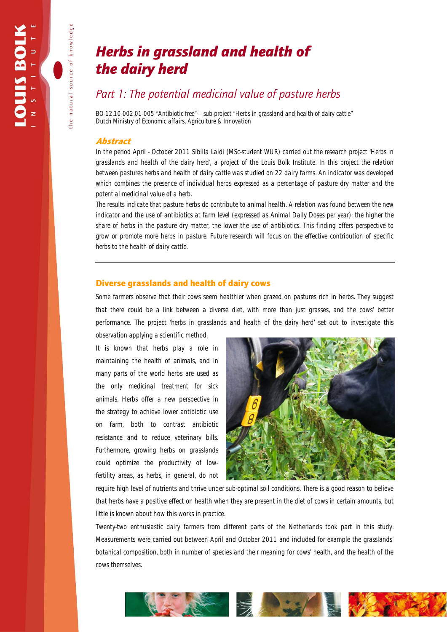natural source of knowledge

# *Herbs in grassland and health of the dairy herd*

## *Part 1: The potential medicinal value of pasture herbs*

*BO-12.10-002.01-005 "Antibiotic free" – sub-project "Herbs in grassland and health of dairy cattle" Dutch Ministry of Economic affairs, Agriculture & Innovation* 

### Abstract

*In the period April - October 2011 Sibilla Laldi (MSc-student WUR) carried out the research project 'Herbs in grasslands and health of the dairy herd', a project of the Louis Bolk Institute. In this project the relation between pastures herbs and health of dairy cattle was studied on 22 dairy farms. An indicator was developed which combines the presence of individual herbs expressed as a percentage of pasture dry matter and the potential medicinal value of a herb.* 

*The results indicate that pasture herbs do contribute to animal health. A relation was found between the new indicator and the use of antibiotics at farm level (expressed as Animal Daily Doses per year): the higher the share of herbs in the pasture dry matter, the lower the use of antibiotics. This finding offers perspective to grow or promote more herbs in pasture. Future research will focus on the effective contribution of specific herbs to the health of dairy cattle.* 

## Diverse grasslands and health of dairy cows

Some farmers observe that their cows seem healthier when grazed on pastures rich in herbs. They suggest that there could be a link between a diverse diet, with more than just grasses, and the cows' better performance. The project *'herbs in grasslands and health of the dairy herd'* set out to investigate this observation applying a scientific method.

It is known that herbs play a role in maintaining the health of animals, and in many parts of the world herbs are used as the only medicinal treatment for sick animals. Herbs offer a new perspective in the strategy to achieve lower antibiotic use on farm, both to contrast antibiotic resistance and to reduce veterinary bills. Furthermore, growing herbs on grasslands could optimize the productivity of lowfertility areas, as herbs, in general, do not



require high level of nutrients and thrive under sub-optimal soil conditions. There is a good reason to believe that herbs have a positive effect on health when they are present in the diet of cows in certain amounts, but little is known about how this works in practice.

Twenty-two enthusiastic dairy farmers from different parts of the Netherlands took part in this study. Measurements were carried out between April and October 2011 and included for example the grasslands' botanical composition, both in number of species and their meaning for cows' health, and the health of the cows themselves.

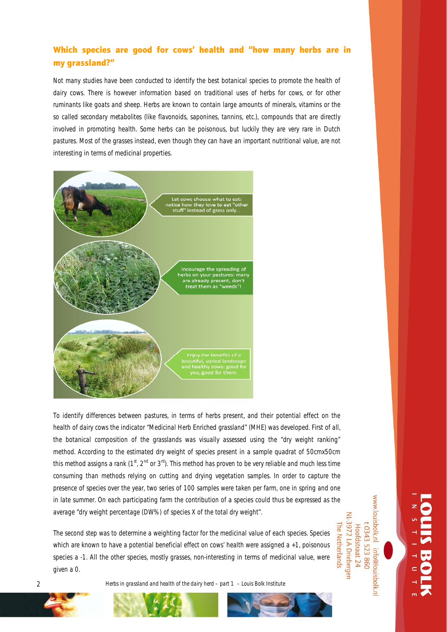## Which species are good for cows' health and "how many herbs are in my grassland?"

Not many studies have been conducted to identify the best botanical species to promote the health of dairy cows. There is however information based on traditional uses of herbs for cows, or for other ruminants like goats and sheep. Herbs are known to contain large amounts of minerals, vitamins or the so called *secondary metabolites* (like flavonoids, saponines, tannins, etc.), compounds that are directly involved in promoting health. Some herbs can be poisonous, but luckily they are very rare in Dutch pastures. Most of the grasses instead, even though they can have an important nutritional value, are not interesting in terms of medicinal properties.



To identify differences between pastures, in terms of herbs present, and their potential effect on the health of dairy cows the indicator "Medicinal Herb Enriched grassland" (MHE) was developed. First of all, the botanical composition of the grasslands was visually assessed using the "dry weight ranking" method. According to the estimated dry weight of species present in a sample quadrat of 50cmx50cm this method assigns a rank ( $1<sup>st</sup>$ ,  $2<sup>nd</sup>$  or  $3<sup>rd</sup>$ ). This method has proven to be very reliable and much less time consuming than methods relying on cutting and drying vegetation samples. In order to capture the presence of species over the year, two series of 100 samples were taken per farm, one in spring and one in late summer. On each participating farm the contribution of a species could thus be expressed as the average "dry weight percentage (DW%) of species X of the total dry weight".

The second step was to determine a weighting factor for the medicinal value of each species. Species which are known to have a potential beneficial effect on cows' health were assigned a +1, poisonous species a -1. All the other species, mostly grasses, non-interesting in terms of medicinal value, were given a 0.

www.louisbolk.nl NL-3972 LA Driebergen t 0343 523 860 The Netherlands Hoofdstraat 24 info@louisbolk.n

2 *Herbs in grassland and health of the dairy herd – part 1 – Louis Bolk Institute* 

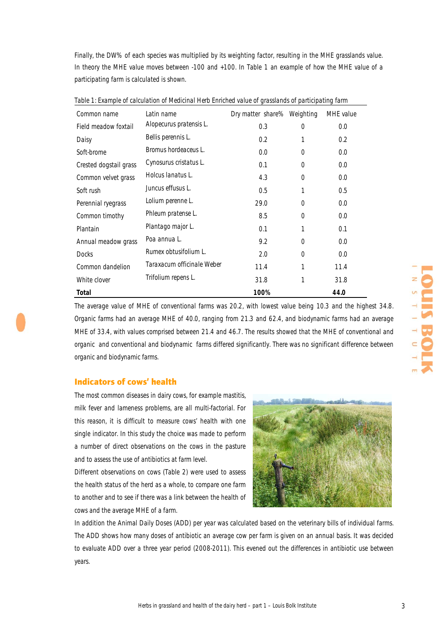Finally, the DW% of each species was multiplied by its weighting factor, resulting in the MHE grasslands value. In theory the MHE value moves between -100 and +100. In Table 1 an example of how the MHE value of a participating farm is calculated is shown.

| Common name            | Latin name                 | Dry matter share% Weighting |          | MHE value |
|------------------------|----------------------------|-----------------------------|----------|-----------|
| Field meadow foxtail   | Alopecurus pratensis L.    | 0.3                         | $\Omega$ | 0.0       |
| Daisy                  | Bellis perennis L.         | 0.2                         | 1        | 0.2       |
| Soft-brome             | Bromus hordeaceus L.       | 0.0                         | $\Omega$ | 0.0       |
| Crested dogstail grass | Cynosurus cristatus L.     | 0.1                         | $\Omega$ | 0.0       |
| Common velvet grass    | Holcus lanatus L.          | 4.3                         | $\Omega$ | 0.0       |
| Soft rush              | Juncus effusus L.          | 0.5                         | 1        | 0.5       |
| Perennial ryegrass     | Lolium perenne L.          | 29.0                        | $\Omega$ | 0.0       |
| Common timothy         | Phleum pratense L.         | 8.5                         | $\Omega$ | 0.0       |
| Plantain               | Plantago major L.          | 0.1                         | 1        | 0.1       |
| Annual meadow grass    | Poa annua L.               | 9.2                         | $\Omega$ | 0.0       |
| <b>Docks</b>           | Rumex obtusifolium L.      | 2.0                         | $\Omega$ | 0.0       |
| Common dandelion       | Taraxacum officinale Weber | 11.4                        | 1        | 11.4      |
| White clover           | Trifolium repens L.        | 31.8                        | 1        | 31.8      |
| Total                  |                            | 100%                        |          | 44.0      |

*Table 1: Example of calculation of Medicinal Herb Enriched value of grasslands of participating farm* 

The average value of MHE of conventional farms was 20.2, with lowest value being 10.3 and the highest 34.8. Organic farms had an average MHE of 40.0, ranging from 21.3 and 62.4, and biodynamic farms had an average MHE of 33.4, with values comprised between 21.4 and 46.7. The results showed that the MHE of conventional and organic and conventional and biodynamic farms differed significantly. There was no significant difference between organic and biodynamic farms.

## Indicators of cows' health

The most common diseases in dairy cows, for example mastitis, milk fever and lameness problems, are all multi-factorial. For this reason, it is difficult to measure cows' health with one single indicator. In this study the choice was made to perform a number of direct observations on the cows in the pasture and to assess the use of antibiotics at farm level.

Different observations on cows (Table 2) were used to assess the health status of the herd as a whole, to compare one farm to another and to see if there was a link between the health of cows and the average MHE of a farm.



In addition the Animal Daily Doses (ADD) per year was calculated based on the veterinary bills of individual farms. The ADD shows how many doses of antibiotic an average cow per farm is given on an annual basis. It was decided to evaluate ADD over a three year period (2008-2011). This evened out the differences in antibiotic use between years.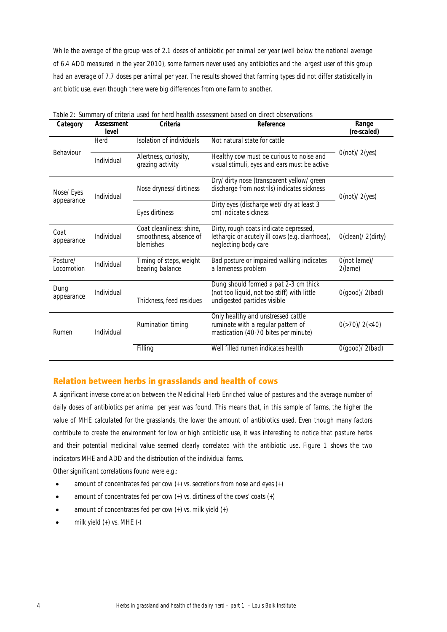While the average of the group was of 2.1 doses of antibiotic per animal per year (well below the national average of 6.4 ADD measured in the year 2010), some farmers never used any antibiotics and the largest user of this group had an average of 7.7 doses per animal per year. The results showed that farming types did not differ statistically in antibiotic use, even though there were big differences from one farm to another.

| Category                | Assessment<br>level | Criteria                                                        | Reference                                                                                                            | Range<br>(re-scaled)      |
|-------------------------|---------------------|-----------------------------------------------------------------|----------------------------------------------------------------------------------------------------------------------|---------------------------|
| Behaviour               | Herd                | Isolation of individuals                                        | Not natural state for cattle                                                                                         |                           |
|                         | Individual          | Alertness, curiosity,<br>grazing activity                       | Healthy cow must be curious to noise and<br>visual stimuli, eyes and ears must be active                             | O(not)/2(yes)             |
| Nose/Eyes<br>appearance | Individual          | Nose dryness/dirtiness                                          | Dry/dirty nose (transparent yellow/green<br>discharge from nostrils) indicates sickness                              | O(not)/2(yes)             |
|                         |                     | Eyes dirtiness                                                  | Dirty eyes (discharge wet/dry at least 3<br>cm) indicate sickness                                                    |                           |
| Coat<br>appearance      | Individual          | Coat cleanliness: shine,<br>smoothness, absence of<br>blemishes | Dirty, rough coats indicate depressed,<br>lethargic or acutely ill cows (e.g. diarrhoea),<br>neglecting body care    | O(clean)/2(dirty)         |
| Posture/<br>Locomotion  | Individual          | Timing of steps, weight<br>bearing balance                      | Bad posture or impaired walking indicates<br>a lameness problem                                                      | O(not lame)/<br>2(lame)   |
| Dung<br>appearance      | Individual          | Thickness, feed residues                                        | Dung should formed a pat 2-3 cm thick<br>(not too liquid, not too stiff) with little<br>undigested particles visible | O(qood)/2(bad)            |
| Rumen                   | Individual          | Rumination timing                                               | Only healthy and unstressed cattle<br>ruminate with a regular pattern of<br>mastication (40-70 bites per minute)     | 0(>70)/2( <sub>40</sub> ) |
|                         |                     | Filling                                                         | Well filled rumen indicates health                                                                                   | O(good)/2(bad)            |

| Table 2: Summary of criteria used for herd health assessment based on direct observations |  |  |  |  |  |
|-------------------------------------------------------------------------------------------|--|--|--|--|--|
|-------------------------------------------------------------------------------------------|--|--|--|--|--|

## Relation between herbs in grasslands and health of cows

A significant inverse correlation between the Medicinal Herb Enriched value of pastures and the average number of daily doses of antibiotics per animal per year was found. This means that, in this sample of farms, the higher the value of MHE calculated for the grasslands, the lower the amount of antibiotics used. Even though many factors contribute to create the environment for low or high antibiotic use, it was interesting to notice that pasture herbs and their potential medicinal value seemed clearly correlated with the antibiotic use. Figure 1 shows the two indicators MHE and ADD and the distribution of the individual farms.

Other significant correlations found were e.g.:

- amount of concentrates fed per cow  $(+)$  vs. secretions from nose and eyes  $(+)$
- amount of concentrates fed per cow (+) vs. dirtiness of the cows' coats (+)
- amount of concentrates fed per cow  $(+)$  vs. milk yield  $(+)$
- milk yield (+) vs. MHE (-)